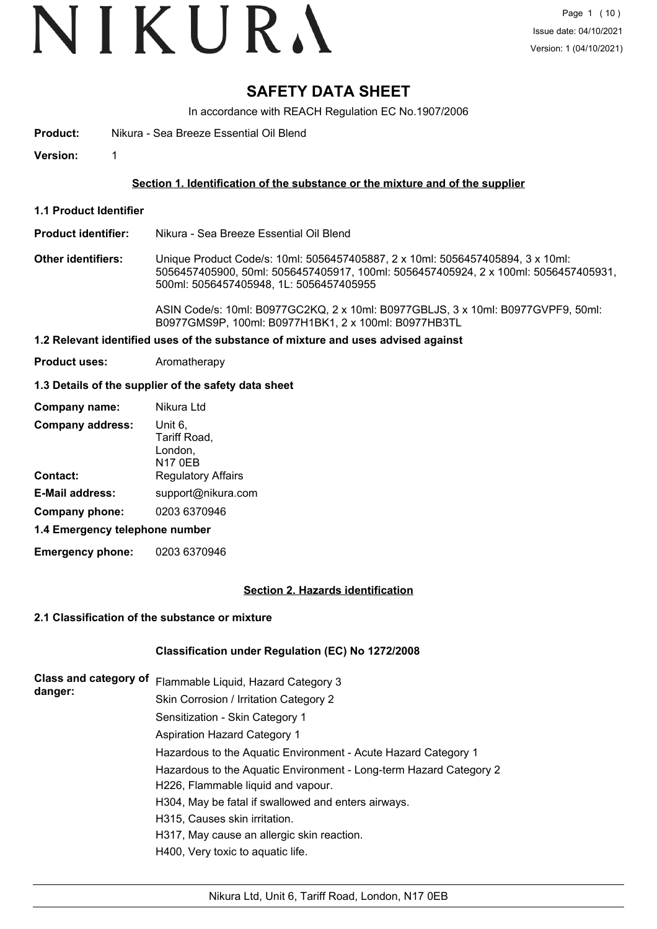## VIKURA

### **SAFETY DATA SHEET**

In accordance with REACH Regulation EC No.1907/2006

**Product:** Nikura - Sea Breeze Essential Oil Blend

**Version:** 1

#### **Section 1. Identification of the substance or the mixture and of the supplier**

**1.1 Product Identifier**

#### **Product identifier:** Nikura - Sea Breeze Essential Oil Blend

**Other identifiers:** Unique Product Code/s: 10ml: 5056457405887, 2 x 10ml: 5056457405894, 3 x 10ml: 5056457405900, 50ml: 5056457405917, 100ml: 5056457405924, 2 x 100ml: 5056457405931, 500ml: 5056457405948, 1L: 5056457405955

> ASIN Code/s: 10ml: B0977GC2KQ, 2 x 10ml: B0977GBLJS, 3 x 10ml: B0977GVPF9, 50ml: B0977GMS9P, 100ml: B0977H1BK1, 2 x 100ml: B0977HB3TL

#### **1.2 Relevant identified uses of the substance of mixture and uses advised against**

**Product uses:** Aromatherapy

#### **1.3 Details of the supplier of the safety data sheet**

| Company name:                  | Nikura Ltd                                           |  |
|--------------------------------|------------------------------------------------------|--|
| <b>Company address:</b>        | Unit 6,<br>Tariff Road,<br>London,<br><b>N17 0EB</b> |  |
| Contact:                       | <b>Regulatory Affairs</b>                            |  |
| <b>E-Mail address:</b>         | support@nikura.com                                   |  |
| Company phone:                 | 0203 6370946                                         |  |
| 1.4 Emergency telephone number |                                                      |  |

**Emergency phone:** 0203 6370946

#### **Section 2. Hazards identification**

#### **2.1 Classification of the substance or mixture**

#### **Classification under Regulation (EC) No 1272/2008**

| Class and category of<br>danger: | Flammable Liquid, Hazard Category 3                                |  |  |
|----------------------------------|--------------------------------------------------------------------|--|--|
|                                  | Skin Corrosion / Irritation Category 2                             |  |  |
|                                  | Sensitization - Skin Category 1                                    |  |  |
|                                  | <b>Aspiration Hazard Category 1</b>                                |  |  |
|                                  | Hazardous to the Aquatic Environment - Acute Hazard Category 1     |  |  |
|                                  | Hazardous to the Aquatic Environment - Long-term Hazard Category 2 |  |  |
|                                  | H226, Flammable liquid and vapour.                                 |  |  |
|                                  | H304, May be fatal if swallowed and enters airways.                |  |  |
|                                  | H315, Causes skin irritation.                                      |  |  |
|                                  | H317, May cause an allergic skin reaction.                         |  |  |
|                                  | H400, Very toxic to aquatic life.                                  |  |  |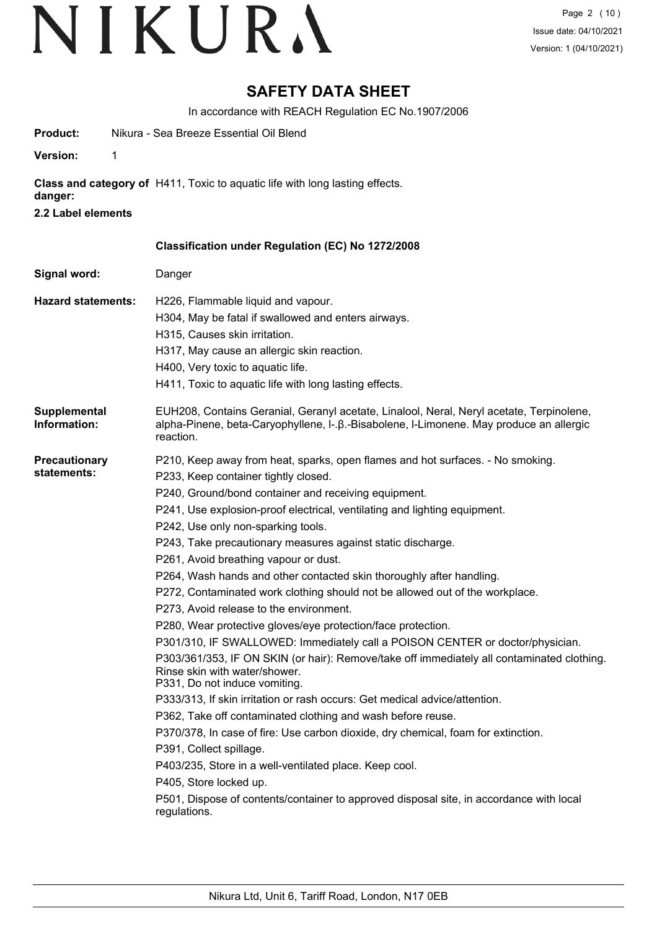### **SAFETY DATA SHEET**

In accordance with REACH Regulation EC No.1907/2006

| Product:                            | Nikura - Sea Breeze Essential Oil Blend                                                                                                                                                                                                                                                                                                                                                                                                                                                                                                                                                                                                                                                                                                                                                                                                                                                                                                                                                                                                                                                                                                                                                                                                                                                                                                                                                   |
|-------------------------------------|-------------------------------------------------------------------------------------------------------------------------------------------------------------------------------------------------------------------------------------------------------------------------------------------------------------------------------------------------------------------------------------------------------------------------------------------------------------------------------------------------------------------------------------------------------------------------------------------------------------------------------------------------------------------------------------------------------------------------------------------------------------------------------------------------------------------------------------------------------------------------------------------------------------------------------------------------------------------------------------------------------------------------------------------------------------------------------------------------------------------------------------------------------------------------------------------------------------------------------------------------------------------------------------------------------------------------------------------------------------------------------------------|
| 1<br><b>Version:</b>                |                                                                                                                                                                                                                                                                                                                                                                                                                                                                                                                                                                                                                                                                                                                                                                                                                                                                                                                                                                                                                                                                                                                                                                                                                                                                                                                                                                                           |
| danger:                             | Class and category of H411, Toxic to aquatic life with long lasting effects.                                                                                                                                                                                                                                                                                                                                                                                                                                                                                                                                                                                                                                                                                                                                                                                                                                                                                                                                                                                                                                                                                                                                                                                                                                                                                                              |
| 2.2 Label elements                  |                                                                                                                                                                                                                                                                                                                                                                                                                                                                                                                                                                                                                                                                                                                                                                                                                                                                                                                                                                                                                                                                                                                                                                                                                                                                                                                                                                                           |
|                                     | Classification under Regulation (EC) No 1272/2008                                                                                                                                                                                                                                                                                                                                                                                                                                                                                                                                                                                                                                                                                                                                                                                                                                                                                                                                                                                                                                                                                                                                                                                                                                                                                                                                         |
| Signal word:                        | Danger                                                                                                                                                                                                                                                                                                                                                                                                                                                                                                                                                                                                                                                                                                                                                                                                                                                                                                                                                                                                                                                                                                                                                                                                                                                                                                                                                                                    |
| <b>Hazard statements:</b>           | H226, Flammable liquid and vapour.<br>H304, May be fatal if swallowed and enters airways.<br>H315, Causes skin irritation.<br>H317, May cause an allergic skin reaction.<br>H400, Very toxic to aquatic life.<br>H411, Toxic to aquatic life with long lasting effects.                                                                                                                                                                                                                                                                                                                                                                                                                                                                                                                                                                                                                                                                                                                                                                                                                                                                                                                                                                                                                                                                                                                   |
| Supplemental<br>Information:        | EUH208, Contains Geranial, Geranyl acetate, Linalool, Neral, Neryl acetate, Terpinolene,<br>alpha-Pinene, beta-Caryophyllene, I-.β.-Bisabolene, I-Limonene. May produce an allergic<br>reaction.                                                                                                                                                                                                                                                                                                                                                                                                                                                                                                                                                                                                                                                                                                                                                                                                                                                                                                                                                                                                                                                                                                                                                                                          |
| <b>Precautionary</b><br>statements: | P210, Keep away from heat, sparks, open flames and hot surfaces. - No smoking.<br>P233, Keep container tightly closed.<br>P240, Ground/bond container and receiving equipment.<br>P241, Use explosion-proof electrical, ventilating and lighting equipment.<br>P242, Use only non-sparking tools.<br>P243, Take precautionary measures against static discharge.<br>P261, Avoid breathing vapour or dust.<br>P264, Wash hands and other contacted skin thoroughly after handling.<br>P272, Contaminated work clothing should not be allowed out of the workplace.<br>P273, Avoid release to the environment.<br>P280, Wear protective gloves/eye protection/face protection.<br>P301/310, IF SWALLOWED: Immediately call a POISON CENTER or doctor/physician.<br>P303/361/353, IF ON SKIN (or hair): Remove/take off immediately all contaminated clothing.<br>Rinse skin with water/shower.<br>P331, Do not induce vomiting.<br>P333/313, If skin irritation or rash occurs: Get medical advice/attention.<br>P362, Take off contaminated clothing and wash before reuse.<br>P370/378, In case of fire: Use carbon dioxide, dry chemical, foam for extinction.<br>P391, Collect spillage.<br>P403/235, Store in a well-ventilated place. Keep cool.<br>P405, Store locked up.<br>P501, Dispose of contents/container to approved disposal site, in accordance with local<br>regulations. |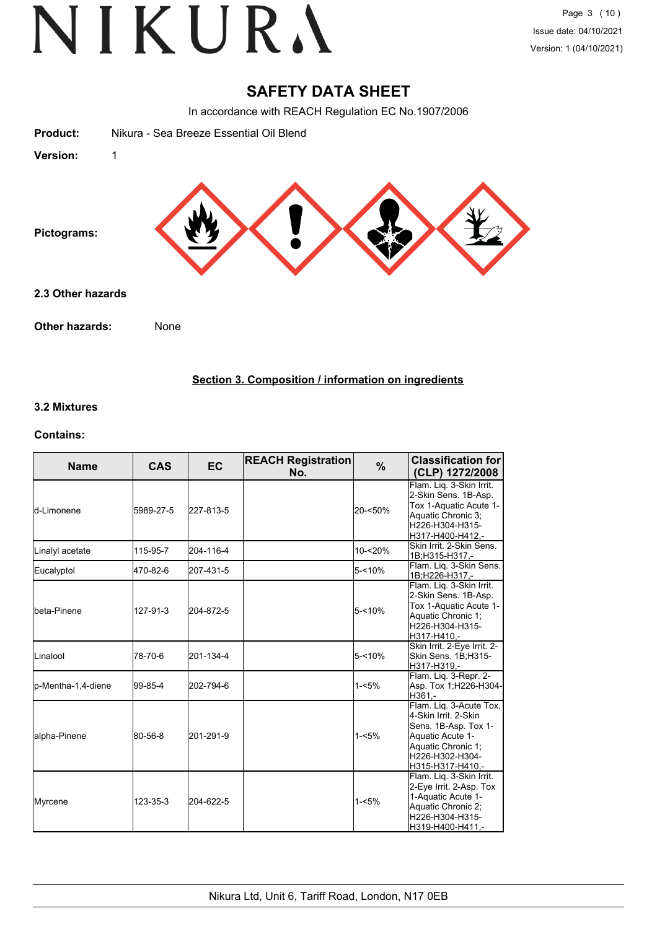### **SAFETY DATA SHEET**

In accordance with REACH Regulation EC No.1907/2006

| <b>Product:</b>   | Nikura - Sea Breeze Essential Oil Blend |
|-------------------|-----------------------------------------|
| Version:          | $\mathbf{1}$                            |
| Pictograms:       |                                         |
| 2.3 Other hazards |                                         |
| Other hazards:    | None                                    |

#### **Section 3. Composition / information on ingredients**

#### **3.2 Mixtures**

#### **Contains:**

| <b>Name</b>        | <b>CAS</b> | <b>EC</b> | <b>REACH Registration</b><br>No. | %         | <b>Classification for</b><br>(CLP) 1272/2008                                                                                                             |
|--------------------|------------|-----------|----------------------------------|-----------|----------------------------------------------------------------------------------------------------------------------------------------------------------|
| ld-Limonene        | 5989-27-5  | 227-813-5 |                                  | 20-<50%   | Flam. Liq. 3-Skin Irrit.<br>2-Skin Sens. 1B-Asp.<br>Tox 1-Aquatic Acute 1-<br>Aquatic Chronic 3;<br>H226-H304-H315-<br>H317-H400-H412,-                  |
| Linalyl acetate    | 115-95-7   | 204-116-4 |                                  | 10-<20%   | Skin Irrit, 2-Skin Sens.<br>1B;H315-H317,-                                                                                                               |
| Eucalyptol         | 470-82-6   | 207-431-5 |                                  | $5 - 10%$ | Flam. Liq. 3-Skin Sens.<br>1B;H226-H317,-                                                                                                                |
| Ibeta-Pinene       | 127-91-3   | 204-872-5 |                                  | $5 - 10%$ | Flam. Lig. 3-Skin Irrit.<br>2-Skin Sens. 1B-Asp.<br>Tox 1-Aquatic Acute 1-<br>Aquatic Chronic 1;<br>H226-H304-H315-<br>H317-H410.-                       |
| ILinalool          | 78-70-6    | 201-134-4 |                                  | $5 - 10%$ | Skin Irrit. 2-Eye Irrit. 2-<br>Skin Sens. 1B;H315-<br>H317-H319.-                                                                                        |
| p-Mentha-1,4-diene | 99-85-4    | 202-794-6 |                                  | $1 - 5%$  | Flam. Liq. 3-Repr. 2-<br>Asp. Tox 1;H226-H304-<br>H361,-                                                                                                 |
| alpha-Pinene       | 80-56-8    | 201-291-9 |                                  | $1 - 5%$  | Flam. Lig. 3-Acute Tox.<br>4-Skin Irrit. 2-Skin<br>Sens. 1B-Asp. Tox 1-<br>Aquatic Acute 1-<br>Aquatic Chronic 1:<br>H226-H302-H304-<br>H315-H317-H410.- |
| Myrcene            | 123-35-3   | 204-622-5 |                                  | $1 - 5%$  | Flam. Lig. 3-Skin Irrit.<br>2-Eye Irrit. 2-Asp. Tox<br>1-Aquatic Acute 1-<br>Aquatic Chronic 2;<br>H226-H304-H315-<br>H319-H400-H411,-                   |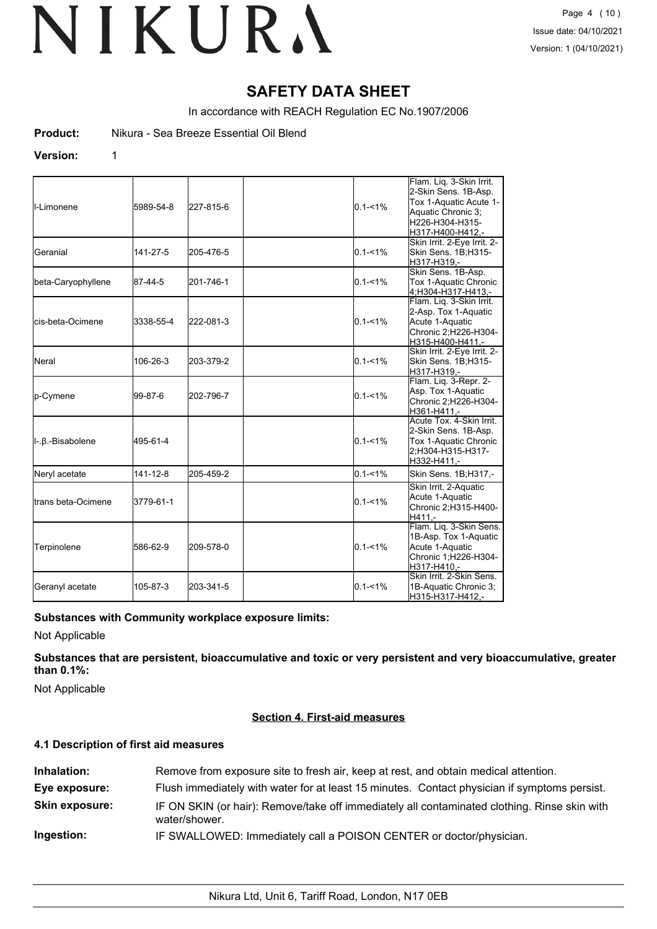### **SAFETY DATA SHEET**

In accordance with REACH Regulation EC No.1907/2006

**Product:** Nikura - Sea Breeze Essential Oil Blend

#### **Version:** 1

| II-Limonene                 | 5989-54-8 | 227-815-6 | $0.1 - 1%$  | Flam. Lig. 3-Skin Irrit.<br>2-Skin Sens. 1B-Asp.<br>Tox 1-Aquatic Acute 1-<br>Aquatic Chronic 3;<br>H226-H304-H315-<br>H317-H400-H412,- |
|-----------------------------|-----------|-----------|-------------|-----------------------------------------------------------------------------------------------------------------------------------------|
| <b>I</b> Geranial           | 141-27-5  | 205-476-5 | $0.1 - 1%$  | Skin Irrit. 2-Eye Irrit. 2-<br>Skin Sens. 1B;H315-<br>H317-H319,-                                                                       |
| beta-Caryophyllene          | 87-44-5   | 201-746-1 | $0.1 - 1\%$ | Skin Sens. 1B-Asp.<br>Tox 1-Aquatic Chronic<br>4;H304-H317-H413,-                                                                       |
| lcis-beta-Ocimene           | 3338-55-4 | 222-081-3 | $0.1 - 1%$  | Flam. Liq. 3-Skin Irrit.<br>2-Asp. Tox 1-Aquatic<br>Acute 1-Aquatic<br>Chronic 2;H226-H304-<br>H315-H400-H411,-                         |
| <b>Neral</b>                | 106-26-3  | 203-379-2 | $0.1 - 1%$  | Skin Irrit. 2-Eye Irrit. 2-<br>Skin Sens. 1B;H315-<br>H317-H319,-                                                                       |
| p-Cymene                    | 99-87-6   | 202-796-7 | $0.1 - 1%$  | Flam. Liq. 3-Repr. 2-<br>Asp. Tox 1-Aquatic<br>Chronic 2;H226-H304-<br>H361-H411,-                                                      |
| II-.β.-Bisabolene           | 495-61-4  |           | $0.1 - 1\%$ | Acute Tox. 4-Skin Irrit.<br>2-Skin Sens. 1B-Asp.<br>Tox 1-Aquatic Chronic<br>2:H304-H315-H317-<br>H332-H411,-                           |
| Neryl acetate               | 141-12-8  | 205-459-2 | $0.1 - 1\%$ | Skin Sens. 1B;H317,-                                                                                                                    |
| <b>I</b> trans beta-Ocimene | 3779-61-1 |           | $0.1 - 1\%$ | Skin Irrit. 2-Aquatic<br>Acute 1-Aquatic<br>Chronic 2; H315-H400-<br>H411.-                                                             |
| Terpinolene                 | 586-62-9  | 209-578-0 | $0.1 - 1%$  | Flam. Lig. 3-Skin Sens.<br>1B-Asp. Tox 1-Aquatic<br>Acute 1-Aquatic<br>Chronic 1;H226-H304-<br>H317-H410.-                              |
| Geranyl acetate             | 105-87-3  | 203-341-5 | $0.1 - 1%$  | Skin Irrit. 2-Skin Sens.<br>1B-Aquatic Chronic 3;<br>H315-H317-H412,-                                                                   |

#### **Substances with Community workplace exposure limits:**

Not Applicable

**Substances that are persistent, bioaccumulative and toxic or very persistent and very bioaccumulative, greater than 0.1%:**

Not Applicable

#### **Section 4. First-aid measures**

#### **4.1 Description of first aid measures**

| Inhalation:           | Remove from exposure site to fresh air, keep at rest, and obtain medical attention.                           |
|-----------------------|---------------------------------------------------------------------------------------------------------------|
| Eye exposure:         | Flush immediately with water for at least 15 minutes. Contact physician if symptoms persist.                  |
| <b>Skin exposure:</b> | IF ON SKIN (or hair): Remove/take off immediately all contaminated clothing. Rinse skin with<br>water/shower. |
| Ingestion:            | IF SWALLOWED: Immediately call a POISON CENTER or doctor/physician.                                           |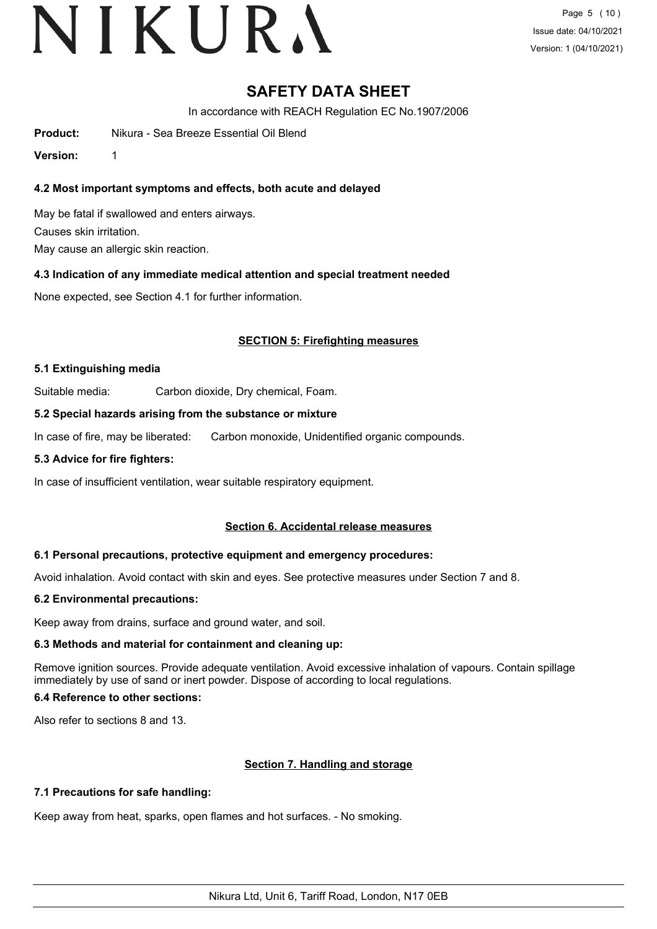## VIKURA

### **SAFETY DATA SHEET**

In accordance with REACH Regulation EC No.1907/2006

**Product:** Nikura - Sea Breeze Essential Oil Blend

**Version:** 1

#### **4.2 Most important symptoms and effects, both acute and delayed**

May be fatal if swallowed and enters airways. Causes skin irritation. May cause an allergic skin reaction.

#### **4.3 Indication of any immediate medical attention and special treatment needed**

None expected, see Section 4.1 for further information.

#### **SECTION 5: Firefighting measures**

#### **5.1 Extinguishing media**

Suitable media: Carbon dioxide, Dry chemical, Foam.

#### **5.2 Special hazards arising from the substance or mixture**

In case of fire, may be liberated: Carbon monoxide, Unidentified organic compounds.

#### **5.3 Advice for fire fighters:**

In case of insufficient ventilation, wear suitable respiratory equipment.

#### **Section 6. Accidental release measures**

#### **6.1 Personal precautions, protective equipment and emergency procedures:**

Avoid inhalation. Avoid contact with skin and eyes. See protective measures under Section 7 and 8.

#### **6.2 Environmental precautions:**

Keep away from drains, surface and ground water, and soil.

#### **6.3 Methods and material for containment and cleaning up:**

Remove ignition sources. Provide adequate ventilation. Avoid excessive inhalation of vapours. Contain spillage immediately by use of sand or inert powder. Dispose of according to local regulations.

#### **6.4 Reference to other sections:**

Also refer to sections 8 and 13.

#### **Section 7. Handling and storage**

#### **7.1 Precautions for safe handling:**

Keep away from heat, sparks, open flames and hot surfaces. - No smoking.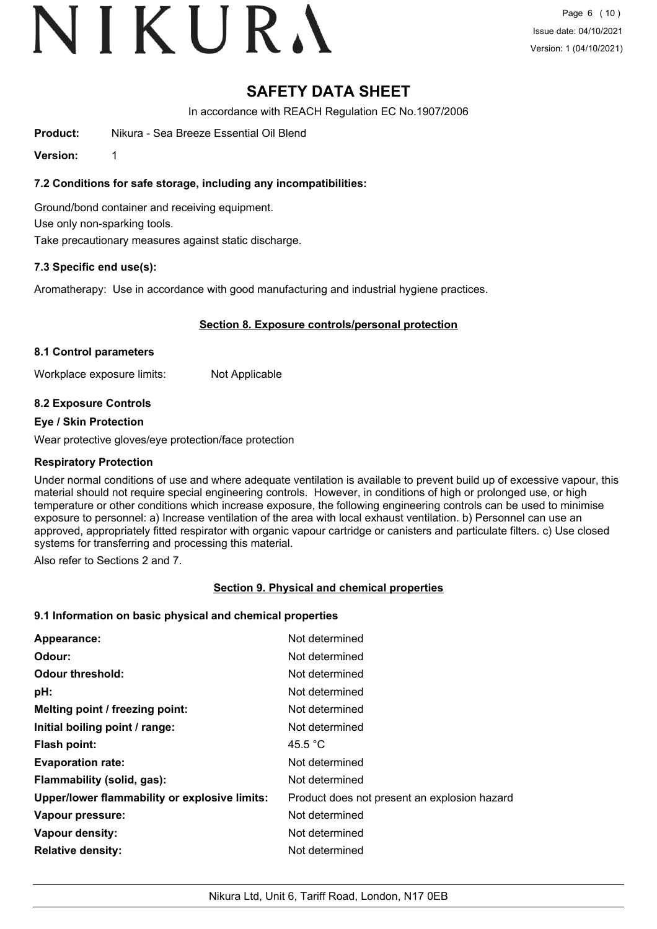# VIKURA

### **SAFETY DATA SHEET**

In accordance with REACH Regulation EC No.1907/2006

**Product:** Nikura - Sea Breeze Essential Oil Blend

**Version:** 1

**7.2 Conditions for safe storage, including any incompatibilities:**

Ground/bond container and receiving equipment. Use only non-sparking tools. Take precautionary measures against static discharge.

#### **7.3 Specific end use(s):**

Aromatherapy: Use in accordance with good manufacturing and industrial hygiene practices.

#### **Section 8. Exposure controls/personal protection**

#### **8.1 Control parameters**

Workplace exposure limits: Not Applicable

#### **8.2 Exposure Controls**

#### **Eye / Skin Protection**

Wear protective gloves/eye protection/face protection

#### **Respiratory Protection**

Under normal conditions of use and where adequate ventilation is available to prevent build up of excessive vapour, this material should not require special engineering controls. However, in conditions of high or prolonged use, or high temperature or other conditions which increase exposure, the following engineering controls can be used to minimise exposure to personnel: a) Increase ventilation of the area with local exhaust ventilation. b) Personnel can use an approved, appropriately fitted respirator with organic vapour cartridge or canisters and particulate filters. c) Use closed systems for transferring and processing this material.

Also refer to Sections 2 and 7.

#### **Section 9. Physical and chemical properties**

### **9.1 Information on basic physical and chemical properties**

| Appearance:                                   | Not determined                               |
|-----------------------------------------------|----------------------------------------------|
| Odour:                                        | Not determined                               |
| <b>Odour threshold:</b>                       | Not determined                               |
| pH:                                           | Not determined                               |
| Melting point / freezing point:               | Not determined                               |
| Initial boiling point / range:                | Not determined                               |
| <b>Flash point:</b>                           | 45.5 °C                                      |
| <b>Evaporation rate:</b>                      | Not determined                               |
| Flammability (solid, gas):                    | Not determined                               |
| Upper/lower flammability or explosive limits: | Product does not present an explosion hazard |
| Vapour pressure:                              | Not determined                               |
| Vapour density:                               | Not determined                               |
| <b>Relative density:</b>                      | Not determined                               |
|                                               |                                              |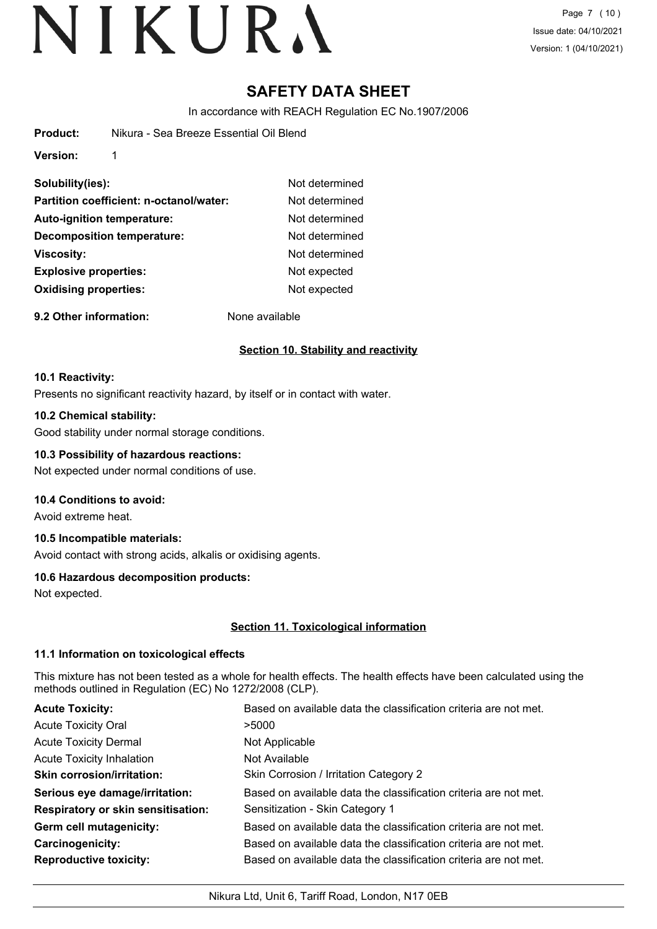### **SAFETY DATA SHEET**

In accordance with REACH Regulation EC No.1907/2006

**Version:** 1

| Solubility(ies):                        | Not determined |
|-----------------------------------------|----------------|
| Partition coefficient: n-octanol/water: | Not determined |
| <b>Auto-ignition temperature:</b>       | Not determined |
| <b>Decomposition temperature:</b>       | Not determined |
| <b>Viscosity:</b>                       | Not determined |
| <b>Explosive properties:</b>            | Not expected   |
| <b>Oxidising properties:</b>            | Not expected   |
|                                         |                |

**9.2 Other information:** None available

#### **Section 10. Stability and reactivity**

#### **10.1 Reactivity:**

Presents no significant reactivity hazard, by itself or in contact with water.

#### **10.2 Chemical stability:**

Good stability under normal storage conditions.

#### **10.3 Possibility of hazardous reactions:**

Not expected under normal conditions of use.

#### **10.4 Conditions to avoid:**

Avoid extreme heat.

#### **10.5 Incompatible materials:**

Avoid contact with strong acids, alkalis or oxidising agents.

#### **10.6 Hazardous decomposition products:**

Not expected.

#### **Section 11. Toxicological information**

#### **11.1 Information on toxicological effects**

This mixture has not been tested as a whole for health effects. The health effects have been calculated using the methods outlined in Regulation (EC) No 1272/2008 (CLP).

| <b>Acute Toxicity:</b>                    | Based on available data the classification criteria are not met. |
|-------------------------------------------|------------------------------------------------------------------|
| <b>Acute Toxicity Oral</b>                | >5000                                                            |
| <b>Acute Toxicity Dermal</b>              | Not Applicable                                                   |
| <b>Acute Toxicity Inhalation</b>          | Not Available                                                    |
| <b>Skin corrosion/irritation:</b>         | Skin Corrosion / Irritation Category 2                           |
| Serious eye damage/irritation:            | Based on available data the classification criteria are not met. |
| <b>Respiratory or skin sensitisation:</b> | Sensitization - Skin Category 1                                  |
| Germ cell mutagenicity:                   | Based on available data the classification criteria are not met. |
| <b>Carcinogenicity:</b>                   | Based on available data the classification criteria are not met. |
| <b>Reproductive toxicity:</b>             | Based on available data the classification criteria are not met. |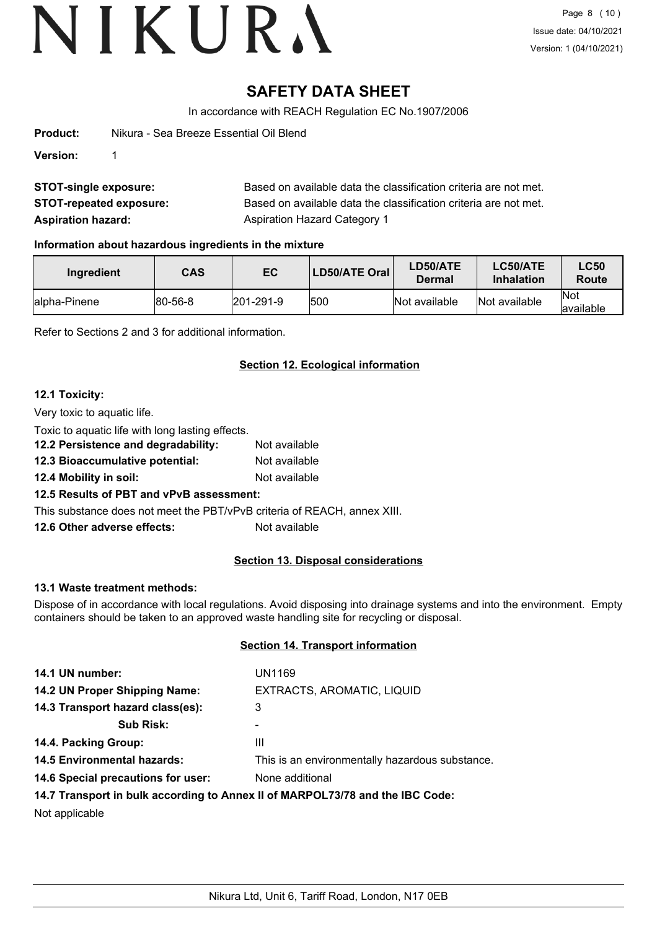### **SAFETY DATA SHEET**

In accordance with REACH Regulation EC No.1907/2006

| Product: | Nikura - Sea Breeze Essential Oil Blend |
|----------|-----------------------------------------|
| Version: |                                         |
|          |                                         |

| <b>STOT-single exposure:</b>   | Based on available data the classification criteria are not met. |
|--------------------------------|------------------------------------------------------------------|
| <b>STOT-repeated exposure:</b> | Based on available data the classification criteria are not met. |
| <b>Aspiration hazard:</b>      | Aspiration Hazard Category 1                                     |

#### **Information about hazardous ingredients in the mixture**

| Ingredient    | <b>CAS</b>      | EC                | LD50/ATE Oral | <b>LD50/ATE</b><br>Dermal | <b>LC50/ATE</b><br><b>Inhalation</b> | <b>LC50</b><br>Route     |
|---------------|-----------------|-------------------|---------------|---------------------------|--------------------------------------|--------------------------|
| lalpha-Pinene | $ 80 - 56 - 8 $ | $ 201 - 291 - 9 $ | 1500          | Not available             | Not available                        | <b>Not</b><br>lavailable |

Refer to Sections 2 and 3 for additional information.

#### **Section 12. Ecological information**

#### **12.1 Toxicity:**

Very toxic to aquatic life.

Toxic to aquatic life with long lasting effects.

| 12.2 Persistence and degradability: | Not available |
|-------------------------------------|---------------|
| 12.3 Bioaccumulative potential:     | Not available |

**12.4 Mobility in soil:** Not available

#### **12.5 Results of PBT and vPvB assessment:**

This substance does not meet the PBT/vPvB criteria of REACH, annex XIII.

**12.6 Other adverse effects:** Not available

#### **Section 13. Disposal considerations**

#### **13.1 Waste treatment methods:**

Dispose of in accordance with local regulations. Avoid disposing into drainage systems and into the environment. Empty containers should be taken to an approved waste handling site for recycling or disposal.

#### **Section 14. Transport information**

| 14.1 UN number:                                                                                | UN1169                                                                        |
|------------------------------------------------------------------------------------------------|-------------------------------------------------------------------------------|
| 14.2 UN Proper Shipping Name:                                                                  | EXTRACTS, AROMATIC, LIQUID                                                    |
| 14.3 Transport hazard class(es):                                                               | 3                                                                             |
| <b>Sub Risk:</b>                                                                               |                                                                               |
| 14.4. Packing Group:                                                                           | Ш                                                                             |
| 14.5 Environmental hazards:                                                                    | This is an environmentally hazardous substance.                               |
| 14.6 Special precautions for user:                                                             | None additional                                                               |
|                                                                                                | 14.7 Transport in bulk according to Annex II of MARPOL73/78 and the IBC Code: |
| $\mathbf{N}$ and $\mathbf{L}$ are set of $\mathbf{L}$ and $\mathbf{L}$ are set of $\mathbf{L}$ |                                                                               |

Not applicable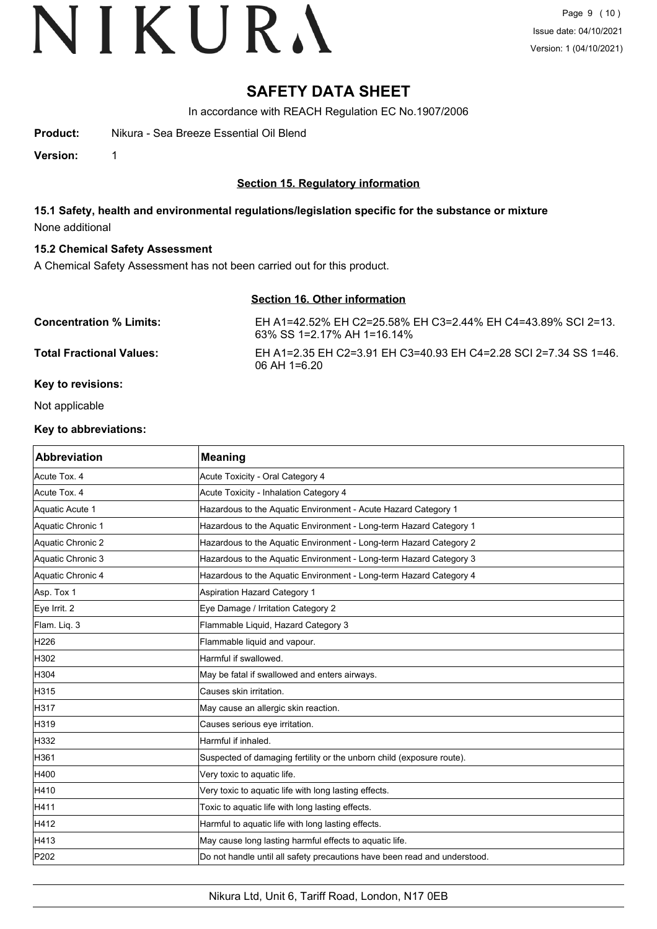### **SAFETY DATA SHEET**

In accordance with REACH Regulation EC No.1907/2006

**Product:** Nikura - Sea Breeze Essential Oil Blend

**Version:** 1

**Section 15. Regulatory information**

**15.1 Safety, health and environmental regulations/legislation specific for the substance or mixture** None additional

#### **15.2 Chemical Safety Assessment**

A Chemical Safety Assessment has not been carried out for this product.

#### **Section 16. Other information**

| <b>Concentration % Limits:</b>  | EH A1=42.52% EH C2=25.58% EH C3=2.44% EH C4=43.89% SCI 2=13.<br>63% SS 1=2.17% AH 1=16.14% |
|---------------------------------|--------------------------------------------------------------------------------------------|
| <b>Total Fractional Values:</b> | EH A1=2.35 EH C2=3.91 EH C3=40.93 EH C4=2.28 SCI 2=7.34 SS 1=46.<br>$06$ AH 1=6.20         |

#### **Key to revisions:**

Not applicable

#### **Key to abbreviations:**

| <b>Abbreviation</b> | <b>Meaning</b>                                                            |
|---------------------|---------------------------------------------------------------------------|
| Acute Tox. 4        | Acute Toxicity - Oral Category 4                                          |
| Acute Tox. 4        | Acute Toxicity - Inhalation Category 4                                    |
| Aquatic Acute 1     | Hazardous to the Aquatic Environment - Acute Hazard Category 1            |
| Aquatic Chronic 1   | Hazardous to the Aquatic Environment - Long-term Hazard Category 1        |
| Aquatic Chronic 2   | Hazardous to the Aquatic Environment - Long-term Hazard Category 2        |
| Aquatic Chronic 3   | Hazardous to the Aquatic Environment - Long-term Hazard Category 3        |
| Aquatic Chronic 4   | Hazardous to the Aquatic Environment - Long-term Hazard Category 4        |
| Asp. Tox 1          | Aspiration Hazard Category 1                                              |
| Eye Irrit. 2        | Eye Damage / Irritation Category 2                                        |
| Flam. Liq. 3        | Flammable Liquid, Hazard Category 3                                       |
| H226                | Flammable liquid and vapour.                                              |
| H302                | Harmful if swallowed.                                                     |
| H304                | May be fatal if swallowed and enters airways.                             |
| H315                | Causes skin irritation.                                                   |
| H317                | May cause an allergic skin reaction.                                      |
| H319                | Causes serious eye irritation.                                            |
| H332                | Harmful if inhaled.                                                       |
| H361                | Suspected of damaging fertility or the unborn child (exposure route).     |
| H400                | Very toxic to aquatic life.                                               |
| H410                | Very toxic to aquatic life with long lasting effects.                     |
| H411                | Toxic to aquatic life with long lasting effects.                          |
| H412                | Harmful to aquatic life with long lasting effects.                        |
| H413                | May cause long lasting harmful effects to aquatic life.                   |
| P202                | Do not handle until all safety precautions have been read and understood. |